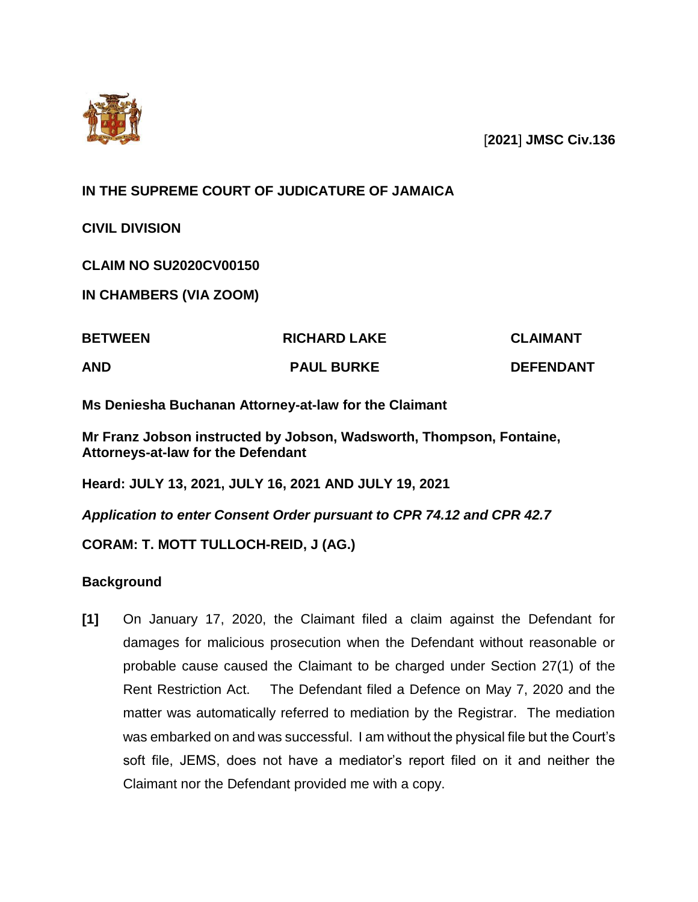

[**2021**] **JMSC Civ.136**

**IN THE SUPREME COURT OF JUDICATURE OF JAMAICA**

**CIVIL DIVISION**

**CLAIM NO SU2020CV00150**

**IN CHAMBERS (VIA ZOOM)**

| <b>BETWEEN</b> | <b>RICHARD LAKE</b> | <b>CLAIMANT</b>  |
|----------------|---------------------|------------------|
| <b>AND</b>     | <b>PAUL BURKE</b>   | <b>DEFENDANT</b> |

**Ms Deniesha Buchanan Attorney-at-law for the Claimant**

**Mr Franz Jobson instructed by Jobson, Wadsworth, Thompson, Fontaine, Attorneys-at-law for the Defendant**

**Heard: JULY 13, 2021, JULY 16, 2021 AND JULY 19, 2021**

*Application to enter Consent Order pursuant to CPR 74.12 and CPR 42.7*

**CORAM: T. MOTT TULLOCH-REID, J (AG.)**

**Background**

**[1]** On January 17, 2020, the Claimant filed a claim against the Defendant for damages for malicious prosecution when the Defendant without reasonable or probable cause caused the Claimant to be charged under Section 27(1) of the Rent Restriction Act. The Defendant filed a Defence on May 7, 2020 and the matter was automatically referred to mediation by the Registrar. The mediation was embarked on and was successful. I am without the physical file but the Court's soft file, JEMS, does not have a mediator's report filed on it and neither the Claimant nor the Defendant provided me with a copy.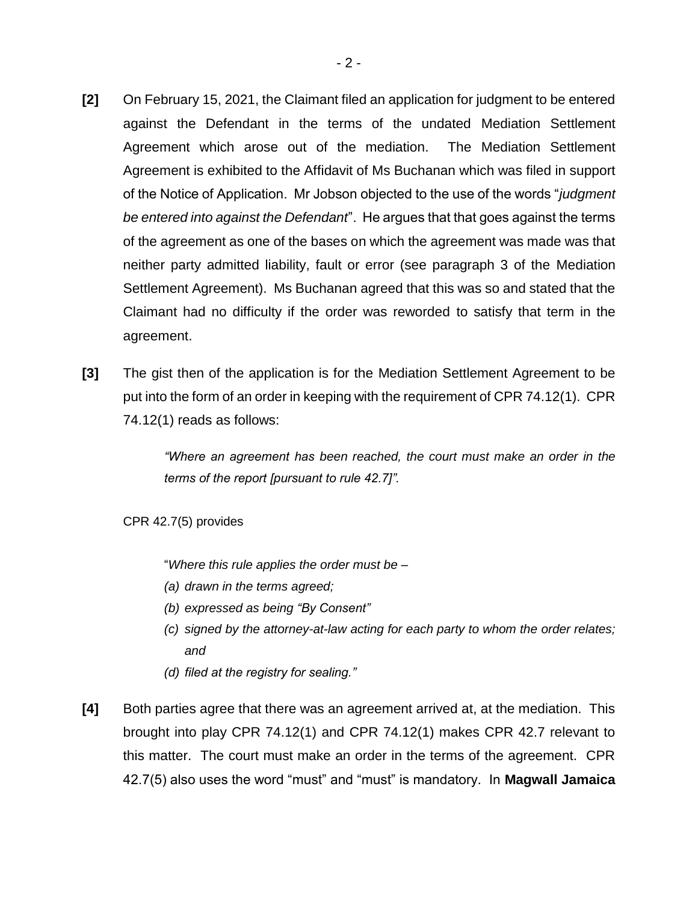- **[2]** On February 15, 2021, the Claimant filed an application for judgment to be entered against the Defendant in the terms of the undated Mediation Settlement Agreement which arose out of the mediation. The Mediation Settlement Agreement is exhibited to the Affidavit of Ms Buchanan which was filed in support of the Notice of Application. Mr Jobson objected to the use of the words "*judgment be entered into against the Defendant*". He argues that that goes against the terms of the agreement as one of the bases on which the agreement was made was that neither party admitted liability, fault or error (see paragraph 3 of the Mediation Settlement Agreement). Ms Buchanan agreed that this was so and stated that the Claimant had no difficulty if the order was reworded to satisfy that term in the agreement.
- **[3]** The gist then of the application is for the Mediation Settlement Agreement to be put into the form of an order in keeping with the requirement of CPR 74.12(1). CPR 74.12(1) reads as follows:

*"Where an agreement has been reached, the court must make an order in the terms of the report [pursuant to rule 42.7]".*

CPR 42.7(5) provides

"*Where this rule applies the order must be –*

- *(a) drawn in the terms agreed;*
- *(b) expressed as being "By Consent"*
- *(c) signed by the attorney-at-law acting for each party to whom the order relates; and*
- *(d) filed at the registry for sealing."*
- **[4]** Both parties agree that there was an agreement arrived at, at the mediation. This brought into play CPR 74.12(1) and CPR 74.12(1) makes CPR 42.7 relevant to this matter. The court must make an order in the terms of the agreement. CPR 42.7(5) also uses the word "must" and "must" is mandatory. In **Magwall Jamaica**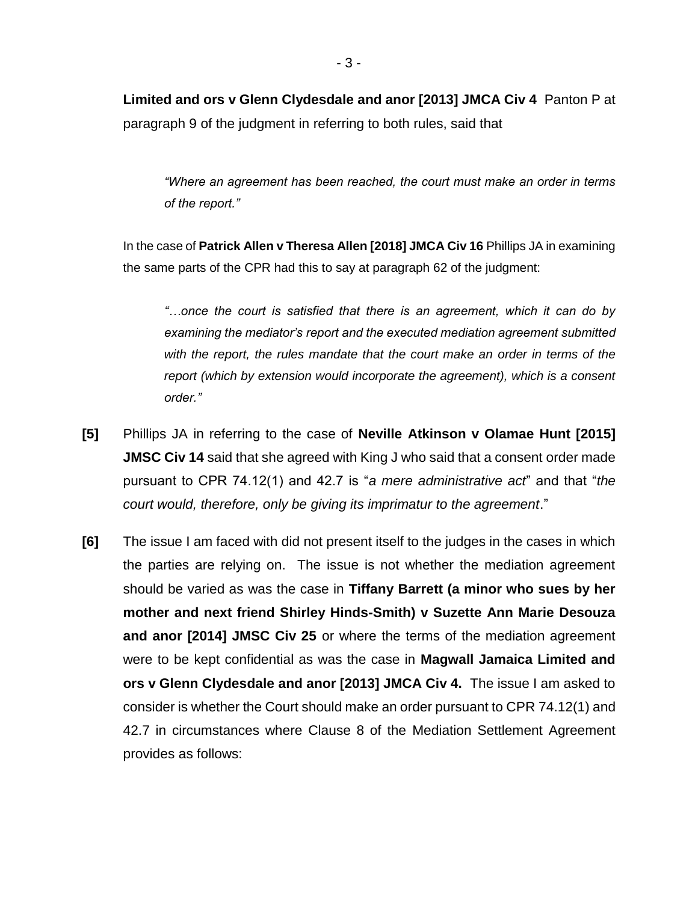**Limited and ors v Glenn Clydesdale and anor [2013] JMCA Civ 4** Panton P at paragraph 9 of the judgment in referring to both rules, said that

*"Where an agreement has been reached, the court must make an order in terms of the report."*

In the case of **Patrick Allen v Theresa Allen [2018] JMCA Civ 16** Phillips JA in examining the same parts of the CPR had this to say at paragraph 62 of the judgment:

*"…once the court is satisfied that there is an agreement, which it can do by examining the mediator's report and the executed mediation agreement submitted with the report, the rules mandate that the court make an order in terms of the report (which by extension would incorporate the agreement), which is a consent order."*

- **[5]** Phillips JA in referring to the case of **Neville Atkinson v Olamae Hunt [2015] JMSC Civ 14** said that she agreed with King J who said that a consent order made pursuant to CPR 74.12(1) and 42.7 is "*a mere administrative act*" and that "*the court would, therefore, only be giving its imprimatur to the agreement*."
- **[6]** The issue I am faced with did not present itself to the judges in the cases in which the parties are relying on. The issue is not whether the mediation agreement should be varied as was the case in **Tiffany Barrett (a minor who sues by her mother and next friend Shirley Hinds-Smith) v Suzette Ann Marie Desouza and anor [2014] JMSC Civ 25** or where the terms of the mediation agreement were to be kept confidential as was the case in **Magwall Jamaica Limited and ors v Glenn Clydesdale and anor [2013] JMCA Civ 4.** The issue I am asked to consider is whether the Court should make an order pursuant to CPR 74.12(1) and 42.7 in circumstances where Clause 8 of the Mediation Settlement Agreement provides as follows: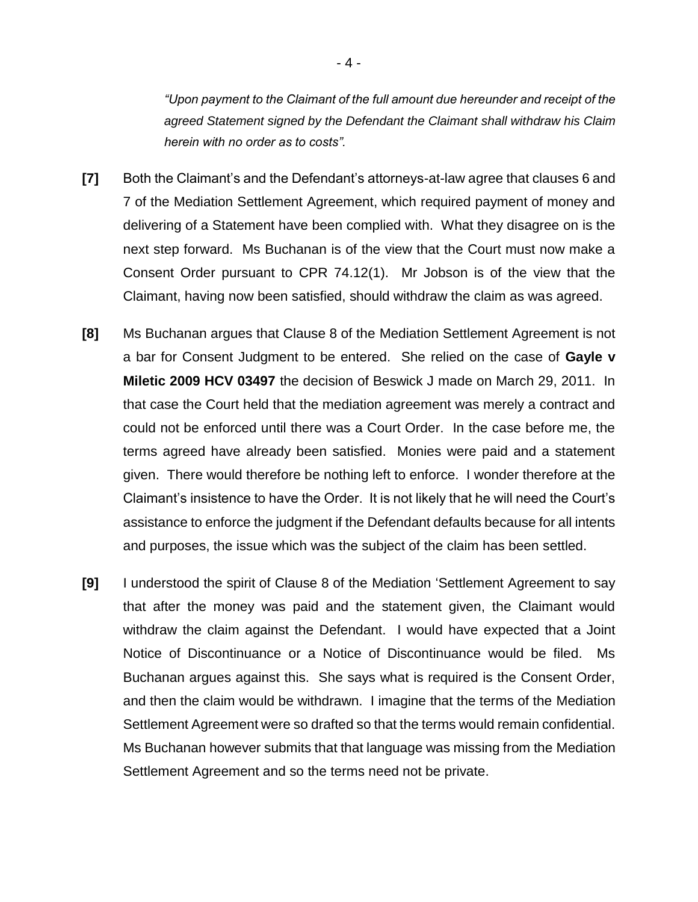*"Upon payment to the Claimant of the full amount due hereunder and receipt of the agreed Statement signed by the Defendant the Claimant shall withdraw his Claim herein with no order as to costs".*

- **[7]** Both the Claimant's and the Defendant's attorneys-at-law agree that clauses 6 and 7 of the Mediation Settlement Agreement, which required payment of money and delivering of a Statement have been complied with. What they disagree on is the next step forward. Ms Buchanan is of the view that the Court must now make a Consent Order pursuant to CPR 74.12(1). Mr Jobson is of the view that the Claimant, having now been satisfied, should withdraw the claim as was agreed.
- **[8]** Ms Buchanan argues that Clause 8 of the Mediation Settlement Agreement is not a bar for Consent Judgment to be entered. She relied on the case of **Gayle v Miletic 2009 HCV 03497** the decision of Beswick J made on March 29, 2011. In that case the Court held that the mediation agreement was merely a contract and could not be enforced until there was a Court Order. In the case before me, the terms agreed have already been satisfied. Monies were paid and a statement given. There would therefore be nothing left to enforce. I wonder therefore at the Claimant's insistence to have the Order. It is not likely that he will need the Court's assistance to enforce the judgment if the Defendant defaults because for all intents and purposes, the issue which was the subject of the claim has been settled.
- **[9]** I understood the spirit of Clause 8 of the Mediation 'Settlement Agreement to say that after the money was paid and the statement given, the Claimant would withdraw the claim against the Defendant. I would have expected that a Joint Notice of Discontinuance or a Notice of Discontinuance would be filed. Ms Buchanan argues against this. She says what is required is the Consent Order, and then the claim would be withdrawn. I imagine that the terms of the Mediation Settlement Agreement were so drafted so that the terms would remain confidential. Ms Buchanan however submits that that language was missing from the Mediation Settlement Agreement and so the terms need not be private.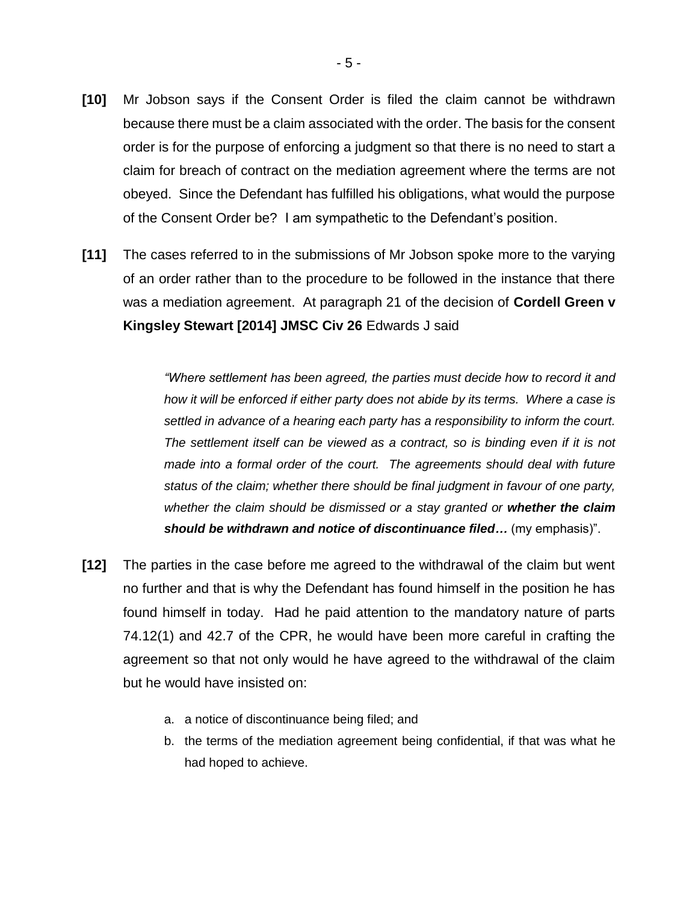- **[10]** Mr Jobson says if the Consent Order is filed the claim cannot be withdrawn because there must be a claim associated with the order. The basis for the consent order is for the purpose of enforcing a judgment so that there is no need to start a claim for breach of contract on the mediation agreement where the terms are not obeyed. Since the Defendant has fulfilled his obligations, what would the purpose of the Consent Order be? I am sympathetic to the Defendant's position.
- **[11]** The cases referred to in the submissions of Mr Jobson spoke more to the varying of an order rather than to the procedure to be followed in the instance that there was a mediation agreement. At paragraph 21 of the decision of **Cordell Green v Kingsley Stewart [2014] JMSC Civ 26** Edwards J said

*"Where settlement has been agreed, the parties must decide how to record it and how it will be enforced if either party does not abide by its terms. Where a case is settled in advance of a hearing each party has a responsibility to inform the court. The settlement itself can be viewed as a contract, so is binding even if it is not made into a formal order of the court. The agreements should deal with future status of the claim; whether there should be final judgment in favour of one party, whether the claim should be dismissed or a stay granted or whether the claim should be withdrawn and notice of discontinuance filed…* (my emphasis)".

- **[12]** The parties in the case before me agreed to the withdrawal of the claim but went no further and that is why the Defendant has found himself in the position he has found himself in today. Had he paid attention to the mandatory nature of parts 74.12(1) and 42.7 of the CPR, he would have been more careful in crafting the agreement so that not only would he have agreed to the withdrawal of the claim but he would have insisted on:
	- a. a notice of discontinuance being filed; and
	- b. the terms of the mediation agreement being confidential, if that was what he had hoped to achieve.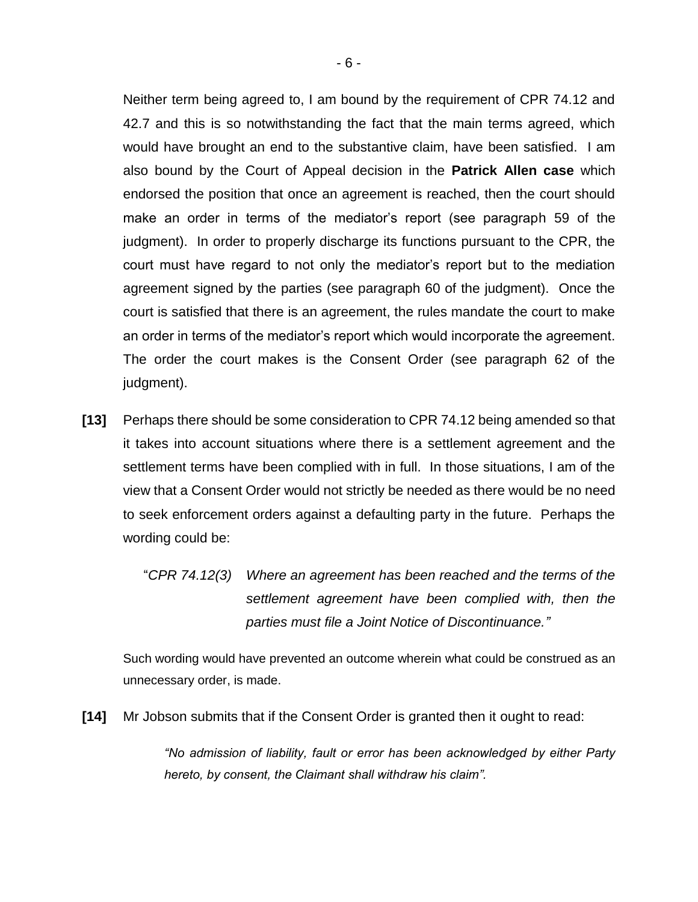Neither term being agreed to, I am bound by the requirement of CPR 74.12 and 42.7 and this is so notwithstanding the fact that the main terms agreed, which would have brought an end to the substantive claim, have been satisfied. I am also bound by the Court of Appeal decision in the **Patrick Allen case** which endorsed the position that once an agreement is reached, then the court should make an order in terms of the mediator's report (see paragraph 59 of the judgment). In order to properly discharge its functions pursuant to the CPR, the court must have regard to not only the mediator's report but to the mediation agreement signed by the parties (see paragraph 60 of the judgment). Once the court is satisfied that there is an agreement, the rules mandate the court to make an order in terms of the mediator's report which would incorporate the agreement. The order the court makes is the Consent Order (see paragraph 62 of the judgment).

- **[13]** Perhaps there should be some consideration to CPR 74.12 being amended so that it takes into account situations where there is a settlement agreement and the settlement terms have been complied with in full. In those situations, I am of the view that a Consent Order would not strictly be needed as there would be no need to seek enforcement orders against a defaulting party in the future. Perhaps the wording could be:
	- "*CPR 74.12(3) Where an agreement has been reached and the terms of the settlement agreement have been complied with, then the parties must file a Joint Notice of Discontinuance."*

Such wording would have prevented an outcome wherein what could be construed as an unnecessary order, is made.

**[14]** Mr Jobson submits that if the Consent Order is granted then it ought to read:

*"No admission of liability, fault or error has been acknowledged by either Party hereto, by consent, the Claimant shall withdraw his claim".*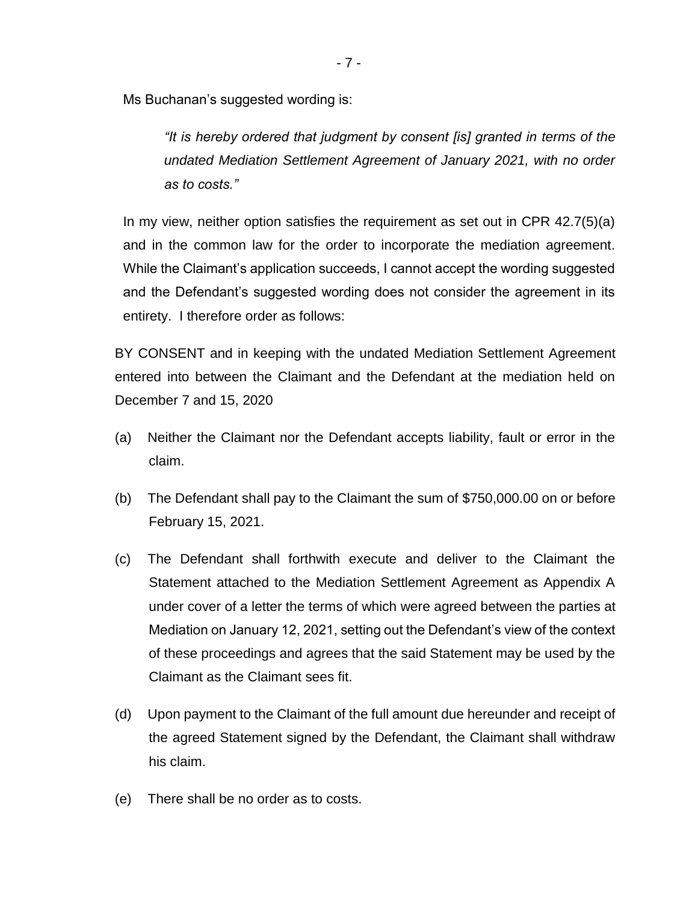Ms Buchanan's suggested wording is:

*"It is hereby ordered that judgment by consent [is] granted in terms of the undated Mediation Settlement Agreement of January 2021, with no order as to costs."*

In my view, neither option satisfies the requirement as set out in CPR 42.7(5)(a) and in the common law for the order to incorporate the mediation agreement. While the Claimant's application succeeds, I cannot accept the wording suggested and the Defendant's suggested wording does not consider the agreement in its entirety. I therefore order as follows:

BY CONSENT and in keeping with the undated Mediation Settlement Agreement entered into between the Claimant and the Defendant at the mediation held on December 7 and 15, 2020

- (a) Neither the Claimant nor the Defendant accepts liability, fault or error in the claim.
- (b) The Defendant shall pay to the Claimant the sum of \$750,000.00 on or before February 15, 2021.
- (c) The Defendant shall forthwith execute and deliver to the Claimant the Statement attached to the Mediation Settlement Agreement as Appendix A under cover of a letter the terms of which were agreed between the parties at Mediation on January 12, 2021, setting out the Defendant's view of the context of these proceedings and agrees that the said Statement may be used by the Claimant as the Claimant sees fit.
- (d) Upon payment to the Claimant of the full amount due hereunder and receipt of the agreed Statement signed by the Defendant, the Claimant shall withdraw his claim.
- (e) There shall be no order as to costs.